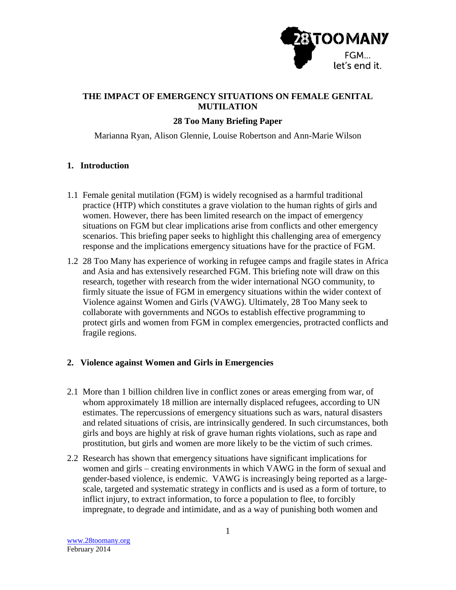

# **THE IMPACT OF EMERGENCY SITUATIONS ON FEMALE GENITAL MUTILATION**

## **28 Too Many Briefing Paper**

Marianna Ryan, Alison Glennie, Louise Robertson and Ann-Marie Wilson

#### **1. Introduction**

- 1.1 Female genital mutilation (FGM) is widely recognised as a harmful traditional practice (HTP) which constitutes a grave violation to the human rights of girls and women. However, there has been limited research on the impact of emergency situations on FGM but clear implications arise from conflicts and other emergency scenarios. This briefing paper seeks to highlight this challenging area of emergency response and the implications emergency situations have for the practice of FGM.
- 1.2 28 Too Many has experience of working in refugee camps and fragile states in Africa and Asia and has extensively researched FGM. This briefing note will draw on this research, together with research from the wider international NGO community, to firmly situate the issue of FGM in emergency situations within the wider context of Violence against Women and Girls (VAWG). Ultimately, 28 Too Many seek to collaborate with governments and NGOs to establish effective programming to protect girls and women from FGM in complex emergencies, protracted conflicts and fragile regions.

#### **2. Violence against Women and Girls in Emergencies**

- 2.1 More than 1 billion children live in conflict zones or areas emerging from war, of whom approximately 18 million are internally displaced refugees, according to UN estimates. The repercussions of emergency situations such as wars, natural disasters and related situations of crisis, are intrinsically gendered. In such circumstances, both girls and boys are highly at risk of grave human rights violations, such as rape and prostitution, but girls and women are more likely to be the victim of such crimes.
- 2.2 Research has shown that emergency situations have significant implications for women and girls – creating environments in which VAWG in the form of sexual and gender-based violence, is endemic. VAWG is increasingly being reported as a largescale, targeted and systematic strategy in conflicts and is used as a form of torture, to inflict injury, to extract information, to force a population to flee, to forcibly impregnate, to degrade and intimidate, and as a way of punishing both women and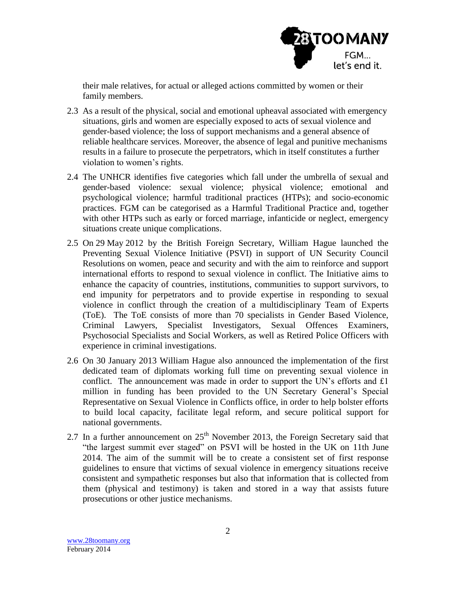

their male relatives, for actual or alleged actions committed by women or their family members.

- 2.3 As a result of the physical, social and emotional upheaval associated with emergency situations, girls and women are especially exposed to acts of sexual violence and gender-based violence; the loss of support mechanisms and a general absence of reliable healthcare services. Moreover, the absence of legal and punitive mechanisms results in a failure to prosecute the perpetrators, which in itself constitutes a further violation to women's rights.
- 2.4 The UNHCR identifies five categories which fall under the umbrella of sexual and gender-based violence: sexual violence; physical violence; emotional and psychological violence; harmful traditional practices (HTPs); and socio-economic practices. FGM can be categorised as a Harmful Traditional Practice and, together with other HTPs such as early or forced marriage, infanticide or neglect, emergency situations create unique complications.
- 2.5 On 29 May 2012 by the British Foreign Secretary, William Hague launched the Preventing Sexual Violence Initiative (PSVI) in support of UN Security Council Resolutions on women, peace and security and with the aim to reinforce and support international efforts to respond to sexual violence in conflict. The Initiative aims to enhance the capacity of countries, institutions, communities to support survivors, to end impunity for perpetrators and to provide expertise in responding to sexual violence in conflict through the creation of a multidisciplinary Team of Experts (ToE). The ToE consists of more than 70 specialists in Gender Based Violence, Criminal Lawyers, Specialist Investigators, Sexual Offences Examiners, Psychosocial Specialists and Social Workers, as well as Retired Police Officers with experience in criminal investigations.
- 2.6 On 30 January 2013 William Hague also announced the implementation of the first dedicated team of diplomats working full time on preventing sexual violence in conflict. The announcement was made in order to support the UN's efforts and £1 million in funding has been provided to the UN Secretary General's Special Representative on Sexual Violence in Conflicts office, in order to help bolster efforts to build local capacity, facilitate legal reform, and secure political support for national governments.
- 2.7 In a further announcement on  $25<sup>th</sup>$  November 2013, the Foreign Secretary said that "the largest summit ever staged" on PSVI will be hosted in the UK on 11th June 2014. The aim of the summit will be to create a consistent set of first response guidelines to ensure that victims of sexual violence in emergency situations receive consistent and sympathetic responses but also that information that is collected from them (physical and testimony) is taken and stored in a way that assists future prosecutions or other justice mechanisms.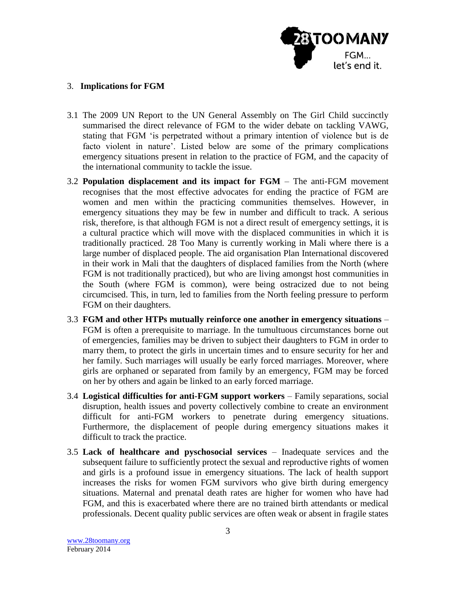

### 3. **Implications for FGM**

- 3.1 The 2009 UN Report to the UN General Assembly on The Girl Child succinctly summarised the direct relevance of FGM to the wider debate on tackling VAWG, stating that FGM 'is perpetrated without a primary intention of violence but is de facto violent in nature'. Listed below are some of the primary complications emergency situations present in relation to the practice of FGM, and the capacity of the international community to tackle the issue.
- 3.2 **Population displacement and its impact for FGM** The anti-FGM movement recognises that the most effective advocates for ending the practice of FGM are women and men within the practicing communities themselves. However, in emergency situations they may be few in number and difficult to track. A serious risk, therefore, is that although FGM is not a direct result of emergency settings, it is a cultural practice which will move with the displaced communities in which it is traditionally practiced. 28 Too Many is currently working in Mali where there is a large number of displaced people. The aid organisation Plan International discovered in their work in Mali that the daughters of displaced families from the North (where FGM is not traditionally practiced), but who are living amongst host communities in the South (where FGM is common), were being ostracized due to not being circumcised. This, in turn, led to families from the North feeling pressure to perform FGM on their daughters.
- 3.3 **FGM and other HTPs mutually reinforce one another in emergency situations** FGM is often a prerequisite to marriage. In the tumultuous circumstances borne out of emergencies, families may be driven to subject their daughters to FGM in order to marry them, to protect the girls in uncertain times and to ensure security for her and her family. Such marriages will usually be early forced marriages. Moreover, where girls are orphaned or separated from family by an emergency, FGM may be forced on her by others and again be linked to an early forced marriage.
- 3.4 **Logistical difficulties for anti-FGM support workers** Family separations, social disruption, health issues and poverty collectively combine to create an environment difficult for anti-FGM workers to penetrate during emergency situations. Furthermore, the displacement of people during emergency situations makes it difficult to track the practice.
- 3.5 **Lack of healthcare and pyschosocial services** Inadequate services and the subsequent failure to sufficiently protect the sexual and reproductive rights of women and girls is a profound issue in emergency situations. The lack of health support increases the risks for women FGM survivors who give birth during emergency situations. Maternal and prenatal death rates are higher for women who have had FGM, and this is exacerbated where there are no trained birth attendants or medical professionals. Decent quality public services are often weak or absent in fragile states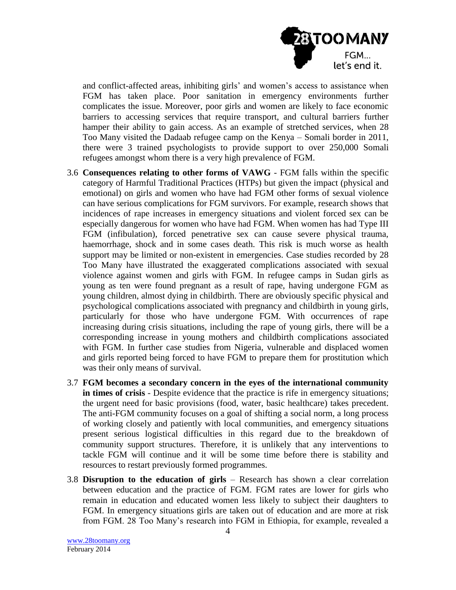

and conflict-affected areas, inhibiting girls' and women's access to assistance when FGM has taken place. Poor sanitation in emergency environments further complicates the issue. Moreover, poor girls and women are likely to face economic barriers to accessing services that require transport, and cultural barriers further hamper their ability to gain access. As an example of stretched services, when 28 Too Many visited the Dadaab refugee camp on the Kenya – Somali border in 2011, there were 3 trained psychologists to provide support to over 250,000 Somali refugees amongst whom there is a very high prevalence of FGM.

- 3.6 **Consequences relating to other forms of VAWG** FGM falls within the specific category of Harmful Traditional Practices (HTPs) but given the impact (physical and emotional) on girls and women who have had FGM other forms of sexual violence can have serious complications for FGM survivors. For example, research shows that incidences of rape increases in emergency situations and violent forced sex can be especially dangerous for women who have had FGM. When women has had Type III FGM (infibulation), forced penetrative sex can cause severe physical trauma, haemorrhage, shock and in some cases death. This risk is much worse as health support may be limited or non-existent in emergencies. Case studies recorded by 28 Too Many have illustrated the exaggerated complications associated with sexual violence against women and girls with FGM. In refugee camps in Sudan girls as young as ten were found pregnant as a result of rape, having undergone FGM as young children, almost dying in childbirth. There are obviously specific physical and psychological complications associated with pregnancy and childbirth in young girls, particularly for those who have undergone FGM. With occurrences of rape increasing during crisis situations, including the rape of young girls, there will be a corresponding increase in young mothers and childbirth complications associated with FGM. In further case studies from Nigeria, vulnerable and displaced women and girls reported being forced to have FGM to prepare them for prostitution which was their only means of survival.
- 3.7 **FGM becomes a secondary concern in the eyes of the international community in times of crisis** - Despite evidence that the practice is rife in emergency situations; the urgent need for basic provisions (food, water, basic healthcare) takes precedent. The anti-FGM community focuses on a goal of shifting a social norm, a long process of working closely and patiently with local communities, and emergency situations present serious logistical difficulties in this regard due to the breakdown of community support structures. Therefore, it is unlikely that any interventions to tackle FGM will continue and it will be some time before there is stability and resources to restart previously formed programmes.
- 3.8 **Disruption to the education of girls**  Research has shown a clear correlation between education and the practice of FGM. FGM rates are lower for girls who remain in education and educated women less likely to subject their daughters to FGM. In emergency situations girls are taken out of education and are more at risk from FGM. 28 Too Many's research into FGM in Ethiopia, for example, revealed a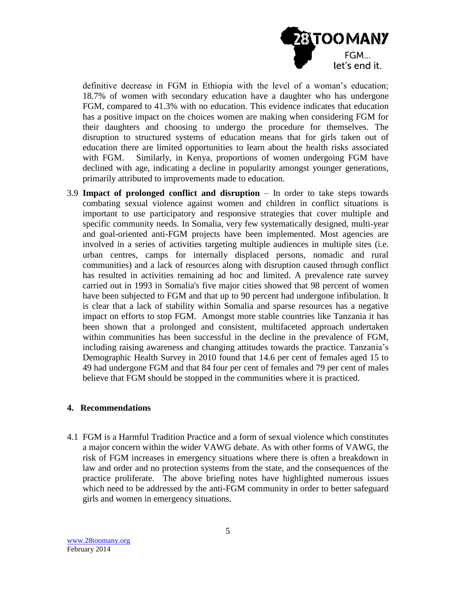

definitive decrease in FGM in Ethiopia with the level of a woman's education; 18.7% of women with secondary education have a daughter who has undergone FGM, compared to 41.3% with no education. This evidence indicates that education has a positive impact on the choices women are making when considering FGM for their daughters and choosing to undergo the procedure for themselves. The disruption to structured systems of education means that for girls taken out of education there are limited opportunities to learn about the health risks associated with FGM. Similarly, in Kenya, proportions of women undergoing FGM have declined with age, indicating a decline in popularity amongst younger generations, primarily attributed to improvements made to education.

3.9 **Impact of prolonged conflict and disruption** – In order to take steps towards combating sexual violence against women and children in conflict situations is important to use participatory and responsive strategies that cover multiple and specific community needs. In Somalia, very few systematically designed, multi-year and goal-oriented anti-FGM projects have been implemented. Most agencies are involved in a series of activities targeting multiple audiences in multiple sites (i.e. urban centres, camps for internally displaced persons, nomadic and rural communities) and a lack of resources along with disruption caused through conflict has resulted in activities remaining ad hoc and limited. A prevalence rate survey carried out in 1993 in Somalia's five major cities showed that 98 percent of women have been subjected to FGM and that up to 90 percent had undergone infibulation. It is clear that a lack of stability within Somalia and sparse resources has a negative impact on efforts to stop FGM. Amongst more stable countries like Tanzania it has been shown that a prolonged and consistent, multifaceted approach undertaken within communities has been successful in the decline in the prevalence of FGM, including raising awareness and changing attitudes towards the practice. Tanzania's Demographic Health Survey in 2010 found that 14.6 per cent of females aged 15 to 49 had undergone FGM and that 84 four per cent of females and 79 per cent of males believe that FGM should be stopped in the communities where it is practiced.

#### **4. Recommendations**

4.1 FGM is a Harmful Tradition Practice and a form of sexual violence which constitutes a major concern within the wider VAWG debate. As with other forms of VAWG, the risk of FGM increases in emergency situations where there is often a breakdown in law and order and no protection systems from the state, and the consequences of the practice proliferate. The above briefing notes have highlighted numerous issues which need to be addressed by the anti-FGM community in order to better safeguard girls and women in emergency situations.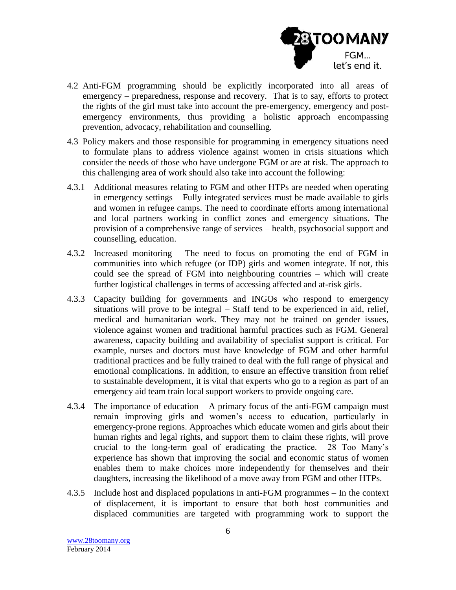

- 4.2 Anti-FGM programming should be explicitly incorporated into all areas of emergency – preparedness, response and recovery. That is to say, efforts to protect the rights of the girl must take into account the pre-emergency, emergency and postemergency environments, thus providing a holistic approach encompassing prevention, advocacy, rehabilitation and counselling.
- 4.3 Policy makers and those responsible for programming in emergency situations need to formulate plans to address violence against women in crisis situations which consider the needs of those who have undergone FGM or are at risk. The approach to this challenging area of work should also take into account the following:
- 4.3.1 Additional measures relating to FGM and other HTPs are needed when operating in emergency settings – Fully integrated services must be made available to girls and women in refugee camps. The need to coordinate efforts among international and local partners working in conflict zones and emergency situations. The provision of a comprehensive range of services – health, psychosocial support and counselling, education.
- 4.3.2 Increased monitoring The need to focus on promoting the end of FGM in communities into which refugee (or IDP) girls and women integrate. If not, this could see the spread of FGM into neighbouring countries – which will create further logistical challenges in terms of accessing affected and at-risk girls.
- 4.3.3 Capacity building for governments and INGOs who respond to emergency situations will prove to be integral – Staff tend to be experienced in aid, relief, medical and humanitarian work. They may not be trained on gender issues, violence against women and traditional harmful practices such as FGM. General awareness, capacity building and availability of specialist support is critical. For example, nurses and doctors must have knowledge of FGM and other harmful traditional practices and be fully trained to deal with the full range of physical and emotional complications. In addition, to ensure an effective transition from relief to sustainable development, it is vital that experts who go to a region as part of an emergency aid team train local support workers to provide ongoing care.
- 4.3.4 The importance of education A primary focus of the anti-FGM campaign must remain improving girls and women's access to education, particularly in emergency-prone regions. Approaches which educate women and girls about their human rights and legal rights, and support them to claim these rights, will prove crucial to the long-term goal of eradicating the practice. 28 Too Many's experience has shown that improving the social and economic status of women enables them to make choices more independently for themselves and their daughters, increasing the likelihood of a move away from FGM and other HTPs.
- 4.3.5 Include host and displaced populations in anti-FGM programmes In the context of displacement, it is important to ensure that both host communities and displaced communities are targeted with programming work to support the